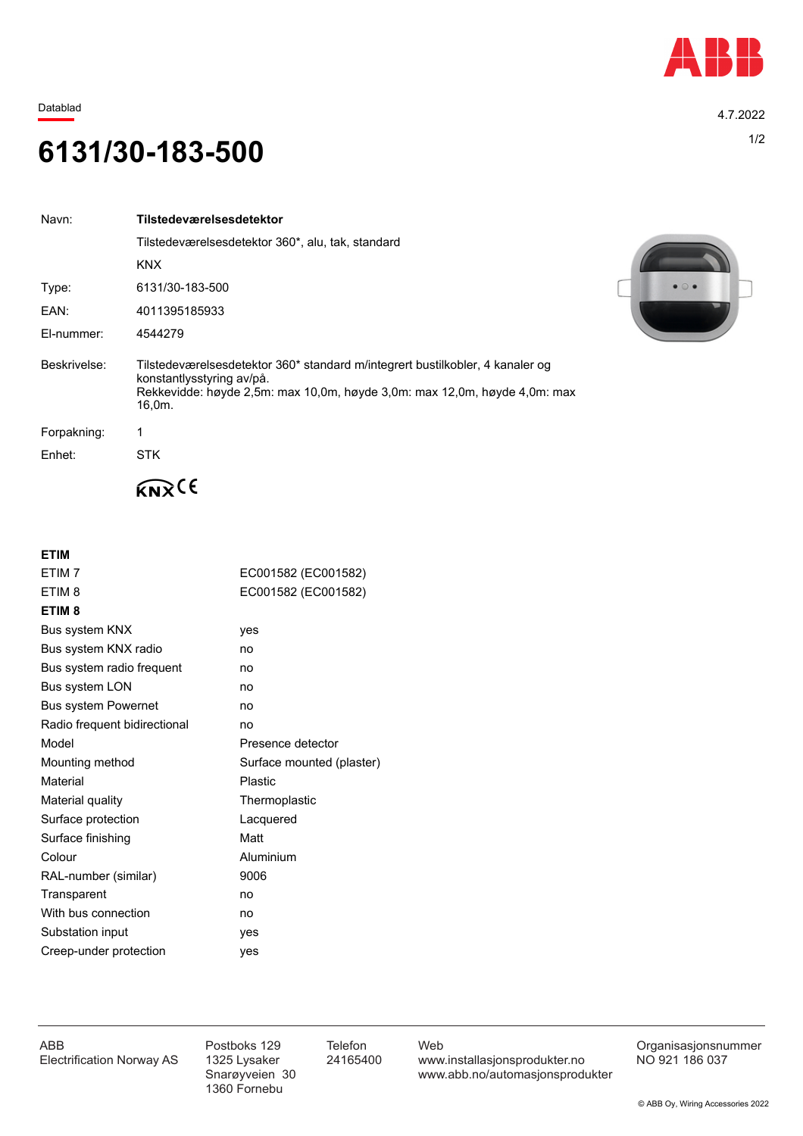

Datablad 4.7.2022

## 1/2 **6131/30-183-500**

| Navn:        | Tilstedeværelsesdetektor                                                                                                                                                                          |
|--------------|---------------------------------------------------------------------------------------------------------------------------------------------------------------------------------------------------|
|              | Tilstedeværelsesdetektor 360*, alu, tak, standard                                                                                                                                                 |
|              | <b>KNX</b>                                                                                                                                                                                        |
| Type:        | 6131/30-183-500                                                                                                                                                                                   |
| EAN:         | 4011395185933                                                                                                                                                                                     |
| El-nummer:   | 4544279                                                                                                                                                                                           |
| Beskrivelse: | Tilstedeværelsesdetektor 360* standard m/integrert bustilkobler, 4 kanaler og<br>konstantlysstyring av/på.<br>Rekkevidde: høyde 2,5m: max 10,0m, høyde 3,0m: max 12,0m, høyde 4,0m: max<br>16.0m. |
| Forpakning:  |                                                                                                                                                                                                   |
| Enhet:       | <b>STK</b>                                                                                                                                                                                        |
|              |                                                                                                                                                                                                   |



| ETIM <sub>7</sub>            | EC001582 (EC001582)       |
|------------------------------|---------------------------|
| ETIM <sub>8</sub>            | EC001582 (EC001582)       |
| ETIM <sub>8</sub>            |                           |
| Bus system KNX               | yes                       |
| Bus system KNX radio         | no                        |
| Bus system radio frequent    | no                        |
| Bus system LON               | no                        |
| <b>Bus system Powernet</b>   | no                        |
| Radio frequent bidirectional | no                        |
| Model                        | Presence detector         |
| Mounting method              | Surface mounted (plaster) |
| Material                     | Plastic                   |
| Material quality             | Thermoplastic             |
| Surface protection           | Lacquered                 |
| Surface finishing            | Matt                      |
| Colour                       | Aluminium                 |
| RAL-number (similar)         | 9006                      |
| Transparent                  | no                        |
| With bus connection          | no                        |
| Substation input             | yes                       |
| Creep-under protection       | yes                       |
|                              |                           |



1360 Fornebu

ABB Postboks 129 Telefon Web Postboks 129 Telefon Web Crganisasjonsnummer<br>Electrification Norway AS 1325 Lysaker 24165400 www.installasjonsprodukter.no NO 921 186 037 1325 Lysaker 24165400 www.installasjonsprodukter.no<br>Snarøyveien 30 www.abb.no/automasjonsprodu www.abb.no/automasjonsprodukter